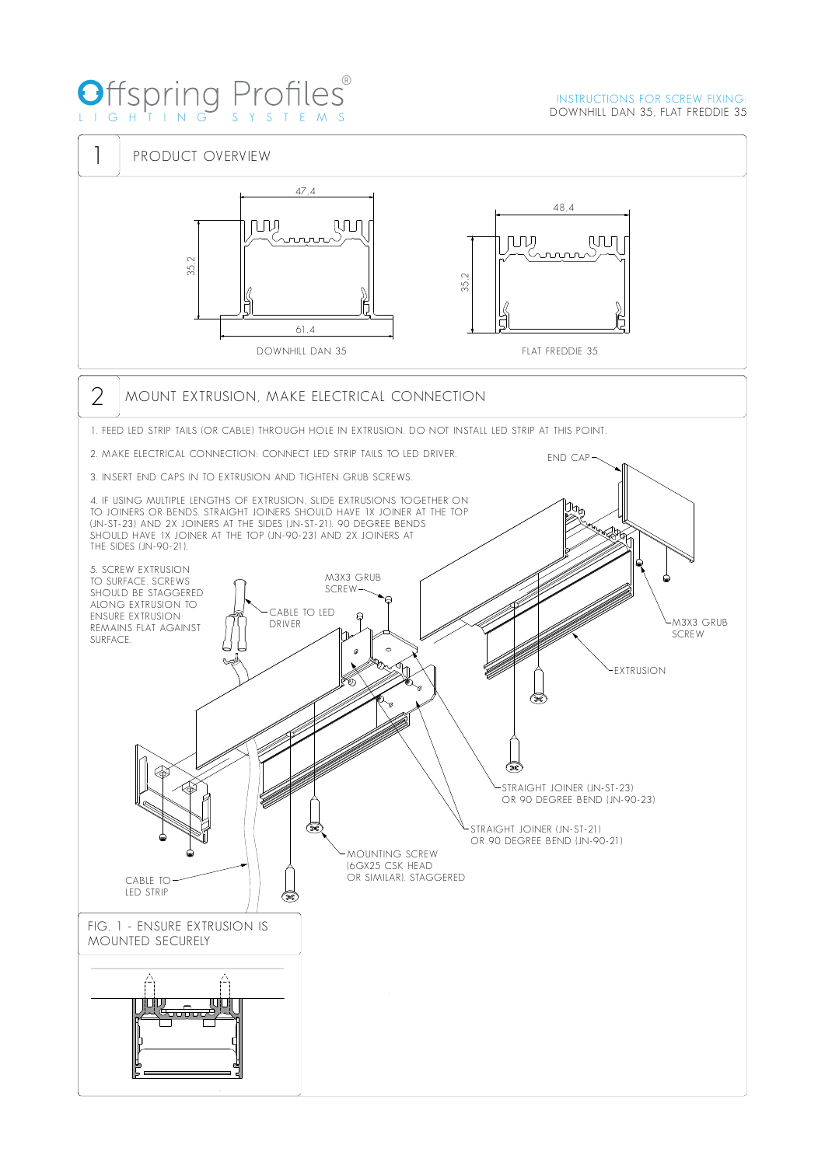## O LIG HTI N G S Y S TEM S ®